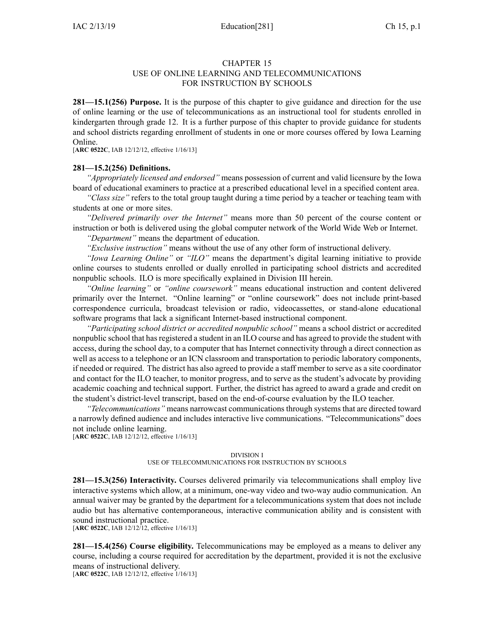## CHAPTER 15

#### USE OF ONLINE LEARNING AND TELECOMMUNICATIONS FOR INSTRUCTION BY SCHOOLS

**281—15.1(256) Purpose.** It is the purpose of this chapter to give guidance and direction for the use of online learning or the use of telecommunications as an instructional tool for students enrolled in kindergarten through grade 12. It is <sup>a</sup> further purpose of this chapter to provide guidance for students and school districts regarding enrollment of students in one or more courses offered by Iowa Learning Online.

[**ARC [0522C](https://www.legis.iowa.gov/docs/aco/arc/0522C.pdf)**, IAB 12/12/12, effective 1/16/13]

## **281—15.2(256) Definitions.**

*"Appropriately licensed and endorsed"* means possession of current and valid licensure by the Iowa board of educational examiners to practice at <sup>a</sup> prescribed educational level in <sup>a</sup> specified content area.

*"Class size"* refers to the total group taught during <sup>a</sup> time period by <sup>a</sup> teacher or teaching team with students at one or more sites.

*"Delivered primarily over the Internet"* means more than 50 percen<sup>t</sup> of the course content or instruction or both is delivered using the global computer network of the World Wide Web or Internet.

*"Department"* means the department of education.

*"Exclusive instruction"* means without the use of any other form of instructional delivery.

*"Iowa Learning Online"* or *"ILO"* means the department's digital learning initiative to provide online courses to students enrolled or dually enrolled in participating school districts and accredited nonpublic schools. ILO is more specifically explained in Division III herein.

*"Online learning"* or *"online coursework"* means educational instruction and content delivered primarily over the Internet. "Online learning" or "online coursework" does not include print-based correspondence curricula, broadcast television or radio, videocassettes, or stand-alone educational software programs that lack <sup>a</sup> significant Internet-based instructional component.

*"Participating school district or accredited nonpublic school"* means <sup>a</sup> school district or accredited nonpublic school that hasregistered <sup>a</sup> student in an ILO course and has agreed to provide the student with access, during the school day, to <sup>a</sup> computer that has Internet connectivity through <sup>a</sup> direct connection as well as access to <sup>a</sup> telephone or an ICN classroom and transportation to periodic laboratory components, if needed or required. The district has also agreed to provide <sup>a</sup> staff member to serve as <sup>a</sup> site coordinator and contact for the ILO teacher, to monitor progress, and to serve as the student's advocate by providing academic coaching and technical support. Further, the district has agreed to award <sup>a</sup> grade and credit on the student's district-level transcript, based on the end-of-course evaluation by the ILO teacher.

*"Telecommunications"* means narrowcast communications through systems that are directed toward <sup>a</sup> narrowly defined audience and includes interactive live communications. "Telecommunications" does not include online learning.

[**ARC [0522C](https://www.legis.iowa.gov/docs/aco/arc/0522C.pdf)**, IAB 12/12/12, effective 1/16/13]

#### DIVISION I

## USE OF TELECOMMUNICATIONS FOR INSTRUCTION BY SCHOOLS

**281—15.3(256) Interactivity.** Courses delivered primarily via telecommunications shall employ live interactive systems which allow, at <sup>a</sup> minimum, one-way video and two-way audio communication. An annual waiver may be granted by the department for <sup>a</sup> telecommunications system that does not include audio but has alternative contemporaneous, interactive communication ability and is consistent with sound instructional practice.

[**ARC [0522C](https://www.legis.iowa.gov/docs/aco/arc/0522C.pdf)**, IAB 12/12/12, effective 1/16/13]

**281—15.4(256) Course eligibility.** Telecommunications may be employed as <sup>a</sup> means to deliver any course, including <sup>a</sup> course required for accreditation by the department, provided it is not the exclusive means of instructional delivery.

[**ARC [0522C](https://www.legis.iowa.gov/docs/aco/arc/0522C.pdf)**, IAB 12/12/12, effective 1/16/13]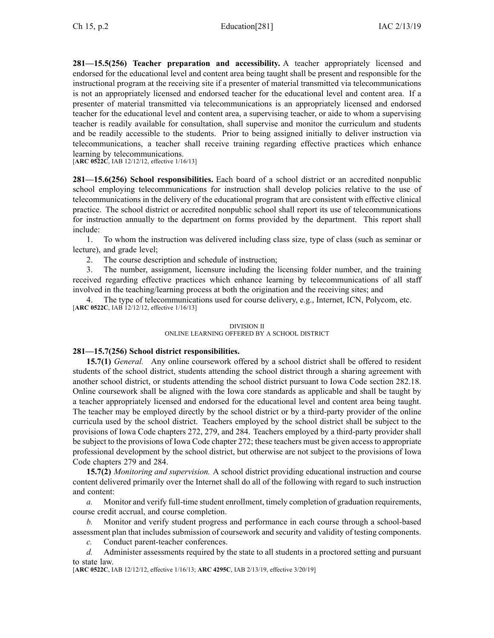**281—15.5(256) Teacher preparation and accessibility.** A teacher appropriately licensed and endorsed for the educational level and content area being taught shall be presen<sup>t</sup> and responsible for the instructional program at the receiving site if <sup>a</sup> presenter of material transmitted via telecommunications is not an appropriately licensed and endorsed teacher for the educational level and content area. If <sup>a</sup> presenter of material transmitted via telecommunications is an appropriately licensed and endorsed teacher for the educational level and content area, <sup>a</sup> supervising teacher, or aide to whom <sup>a</sup> supervising teacher is readily available for consultation, shall supervise and monitor the curriculum and students and be readily accessible to the students. Prior to being assigned initially to deliver instruction via telecommunications, <sup>a</sup> teacher shall receive training regarding effective practices which enhance learning by telecommunications.

[**ARC [0522C](https://www.legis.iowa.gov/docs/aco/arc/0522C.pdf)**, IAB 12/12/12, effective 1/16/13]

**281—15.6(256) School responsibilities.** Each board of <sup>a</sup> school district or an accredited nonpublic school employing telecommunications for instruction shall develop policies relative to the use of telecommunications in the delivery of the educational program that are consistent with effective clinical practice. The school district or accredited nonpublic school shall repor<sup>t</sup> its use of telecommunications for instruction annually to the department on forms provided by the department. This repor<sup>t</sup> shall include:

1. To whom the instruction was delivered including class size, type of class (such as seminar or lecture), and grade level;

2. The course description and schedule of instruction;

3. The number, assignment, licensure including the licensing folder number, and the training received regarding effective practices which enhance learning by telecommunications of all staff involved in the teaching/learning process at both the origination and the receiving sites; and

The type of telecommunications used for course delivery, e.g., Internet, ICN, Polycom, etc. [**ARC [0522C](https://www.legis.iowa.gov/docs/aco/arc/0522C.pdf)**, IAB 12/12/12, effective 1/16/13]

#### DIVISION II

## ONLINE LEARNING OFFERED BY A SCHOOL DISTRICT

## **281—15.7(256) School district responsibilities.**

**15.7(1)** *General.* Any online coursework offered by <sup>a</sup> school district shall be offered to resident students of the school district, students attending the school district through <sup>a</sup> sharing agreemen<sup>t</sup> with another school district, or students attending the school district pursuan<sup>t</sup> to Iowa Code section [282.18](https://www.legis.iowa.gov/docs/ico/section/282.18.pdf). Online coursework shall be aligned with the Iowa core standards as applicable and shall be taught by <sup>a</sup> teacher appropriately licensed and endorsed for the educational level and content area being taught. The teacher may be employed directly by the school district or by <sup>a</sup> third-party provider of the online curricula used by the school district. Teachers employed by the school district shall be subject to the provisions of Iowa Code chapters [272](https://www.legis.iowa.gov/docs/ico/chapter/272.pdf), [279](https://www.legis.iowa.gov/docs/ico/chapter/279.pdf), and [284](https://www.legis.iowa.gov/docs/ico/chapter/284.pdf). Teachers employed by <sup>a</sup> third-party provider shall be subject to the provisions of Iowa Code chapter [272](https://www.legis.iowa.gov/docs/ico/chapter/272.pdf); these teachers must be given access to appropriate professional development by the school district, but otherwise are not subject to the provisions of Iowa Code chapters [279](https://www.legis.iowa.gov/docs/ico/chapter/279.pdf) and [284](https://www.legis.iowa.gov/docs/ico/chapter/284.pdf).

**15.7(2)** *Monitoring and supervision.* A school district providing educational instruction and course content delivered primarily over the Internet shall do all of the following with regard to such instruction and content:

*a.* Monitor and verify full-time student enrollment, timely completion of graduation requirements, course credit accrual, and course completion.

*b.* Monitor and verify student progress and performance in each course through <sup>a</sup> school-based assessment plan that includes submission of coursework and security and validity of testing components.

*c.* Conduct parent-teacher conferences.

*d.* Administer assessments required by the state to all students in <sup>a</sup> proctored setting and pursuan<sup>t</sup> to state law.

[**ARC [0522C](https://www.legis.iowa.gov/docs/aco/arc/0522C.pdf)**, IAB 12/12/12, effective 1/16/13; **ARC [4295C](https://www.legis.iowa.gov/docs/aco/arc/4295C.pdf)**, IAB 2/13/19, effective 3/20/19]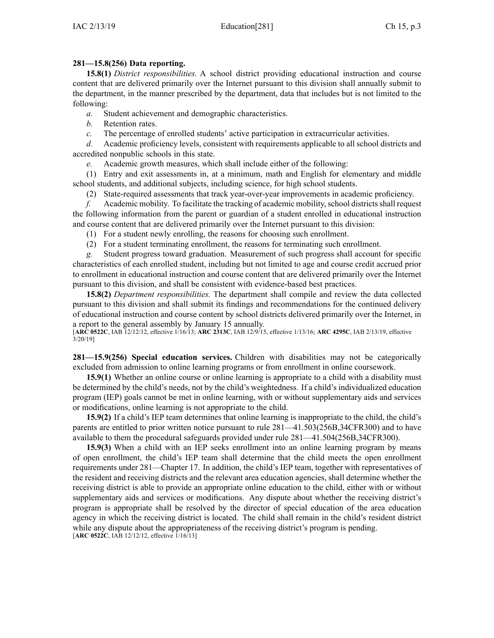# **281—15.8(256) Data reporting.**

**15.8(1)** *District responsibilities.* A school district providing educational instruction and course content that are delivered primarily over the Internet pursuan<sup>t</sup> to this division shall annually submit to the department, in the manner prescribed by the department, data that includes but is not limited to the following:

*a.* Student achievement and demographic characteristics.

*b.* Retention rates.

*c.* The percentage of enrolled students' active participation in extracurricular activities.

*d.* Academic proficiency levels, consistent with requirements applicable to all school districts and accredited nonpublic schools in this state.

*e.* Academic growth measures, which shall include either of the following:

(1) Entry and exit assessments in, at <sup>a</sup> minimum, math and English for elementary and middle school students, and additional subjects, including science, for high school students.

(2) State-required assessments that track year-over-year improvements in academic proficiency.

*f.* Academic mobility. To facilitate the tracking of academic mobility, school districts shall request the following information from the paren<sup>t</sup> or guardian of <sup>a</sup> student enrolled in educational instruction and course content that are delivered primarily over the Internet pursuan<sup>t</sup> to this division:

(1) For <sup>a</sup> student newly enrolling, the reasons for choosing such enrollment.

(2) For <sup>a</sup> student terminating enrollment, the reasons for terminating such enrollment.

*g.* Student progress toward graduation. Measurement of such progress shall account for specific characteristics of each enrolled student, including but not limited to age and course credit accrued prior to enrollment in educational instruction and course content that are delivered primarily over the Internet pursuan<sup>t</sup> to this division, and shall be consistent with evidence-based best practices.

**15.8(2)** *Department responsibilities.* The department shall compile and review the data collected pursuan<sup>t</sup> to this division and shall submit its findings and recommendations for the continued delivery of educational instruction and course content by school districts delivered primarily over the Internet, in <sup>a</sup> repor<sup>t</sup> to the general assembly by January 15 annually.

[**ARC [0522C](https://www.legis.iowa.gov/docs/aco/arc/0522C.pdf)**, IAB 12/12/12, effective 1/16/13; **ARC [2313C](https://www.legis.iowa.gov/docs/aco/arc/2313C.pdf)**, IAB 12/9/15, effective 1/13/16; **ARC [4295C](https://www.legis.iowa.gov/docs/aco/arc/4295C.pdf)**, IAB 2/13/19, effective 3/20/19]

**281—15.9(256) Special education services.** Children with disabilities may not be categorically excluded from admission to online learning programs or from enrollment in online coursework.

**15.9(1)** Whether an online course or online learning is appropriate to <sup>a</sup> child with <sup>a</sup> disability must be determined by the child's needs, not by the child's weightedness. If <sup>a</sup> child's individualized education program (IEP) goals cannot be met in online learning, with or without supplementary aids and services or modifications, online learning is not appropriate to the child.

**15.9(2)** If <sup>a</sup> child's IEP team determines that online learning is inappropriate to the child, the child's parents are entitled to prior written notice pursuan<sup>t</sup> to rule [281—41.503](https://www.legis.iowa.gov/docs/iac/rule/281.41.503.pdf)(256B,34CFR300) and to have available to them the procedural safeguards provided under rule [281—41.504](https://www.legis.iowa.gov/docs/iac/rule/281.41.504.pdf)(256B,34CFR300).

**15.9(3)** When <sup>a</sup> child with an IEP seeks enrollment into an online learning program by means of open enrollment, the child's IEP team shall determine that the child meets the open enrollment requirements under [281—Chapter](https://www.legis.iowa.gov/docs/iac/chapter/281.17.pdf) 17. In addition, the child's IEP team, together with representatives of the resident and receiving districts and the relevant area education agencies, shall determine whether the receiving district is able to provide an appropriate online education to the child, either with or without supplementary aids and services or modifications. Any dispute about whether the receiving district's program is appropriate shall be resolved by the director of special education of the area education agency in which the receiving district is located. The child shall remain in the child's resident district while any dispute about the appropriateness of the receiving district's program is pending. [**ARC [0522C](https://www.legis.iowa.gov/docs/aco/arc/0522C.pdf)**, IAB 12/12/12, effective 1/16/13]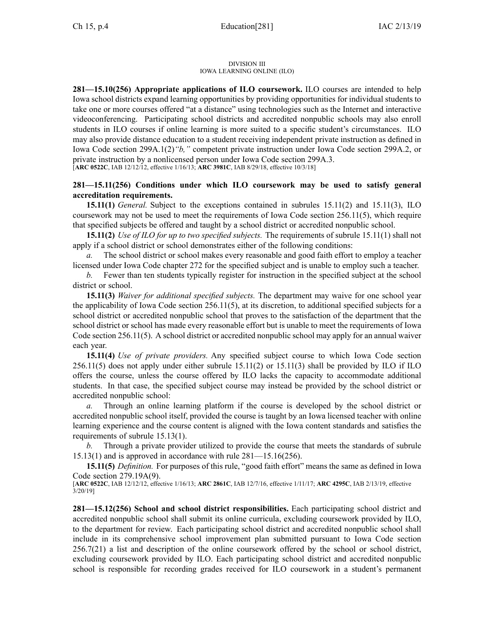#### DIVISION III IOWA LEARNING ONLINE (ILO)

**281—15.10(256) Appropriate applications of ILO coursework.** ILO courses are intended to help Iowa school districts expand learning opportunities by providing opportunities for individual students to take one or more courses offered "at <sup>a</sup> distance" using technologies such as the Internet and interactive videoconferencing. Participating school districts and accredited nonpublic schools may also enroll students in ILO courses if online learning is more suited to <sup>a</sup> specific student's circumstances. ILO may also provide distance education to <sup>a</sup> student receiving independent private instruction as defined in Iowa Code section [299A.1\(2\)](https://www.legis.iowa.gov/docs/ico/section/2018/299A.1.pdf)*"b,"* competent private instruction under Iowa Code section [299A.2](https://www.legis.iowa.gov/docs/ico/section/2018/299A.2.pdf), or private instruction by <sup>a</sup> nonlicensed person under Iowa Code section [299A.3](https://www.legis.iowa.gov/docs/ico/section/2018/299A.3.pdf). [**ARC [0522C](https://www.legis.iowa.gov/docs/aco/arc/0522C.pdf)**, IAB 12/12/12, effective 1/16/13; **ARC [3981C](https://www.legis.iowa.gov/docs/aco/arc/3981C.pdf)**, IAB 8/29/18, effective 10/3/18]

# **281—15.11(256) Conditions under which ILO coursework may be used to satisfy general accreditation requirements.**

**15.11(1)** *General.* Subject to the exceptions contained in subrules [15.11\(2\)](https://www.legis.iowa.gov/docs/iac/rule/281.15.11.pdf) and [15.11\(3\)](https://www.legis.iowa.gov/docs/iac/rule/281.15.11.pdf), ILO coursework may not be used to meet the requirements of Iowa Code section [256.11\(5\)](https://www.legis.iowa.gov/docs/ico/section/256.11.pdf), which require that specified subjects be offered and taught by <sup>a</sup> school district or accredited nonpublic school.

**15.11(2)** *Use of ILO for up to two specified subjects.* The requirements of subrule [15.11\(1\)](https://www.legis.iowa.gov/docs/iac/rule/281.15.11.pdf) shall not apply if <sup>a</sup> school district or school demonstrates either of the following conditions:

*a.* The school district or school makes every reasonable and good faith effort to employ <sup>a</sup> teacher licensed under Iowa Code chapter [272](https://www.legis.iowa.gov/docs/ico/chapter/272.pdf) for the specified subject and is unable to employ such <sup>a</sup> teacher.

*b.* Fewer than ten students typically register for instruction in the specified subject at the school district or school.

**15.11(3)** *Waiver for additional specified subjects.* The department may waive for one school year the applicability of Iowa Code section [256.11\(5\)](https://www.legis.iowa.gov/docs/ico/section/256.11.pdf), at its discretion, to additional specified subjects for <sup>a</sup> school district or accredited nonpublic school that proves to the satisfaction of the department that the school district or school has made every reasonable effort but is unable to meet the requirements of Iowa Code section [256.11\(5\)](https://www.legis.iowa.gov/docs/ico/section/256.11.pdf). A school district or accredited nonpublic school may apply for an annual waiver each year.

**15.11(4)** *Use of private providers.* Any specified subject course to which Iowa Code section [256.11\(5\)](https://www.legis.iowa.gov/docs/ico/section/256.11.pdf) does not apply under either subrule 15.11(2) or 15.11(3) shall be provided by ILO if ILO offers the course, unless the course offered by ILO lacks the capacity to accommodate additional students. In that case, the specified subject course may instead be provided by the school district or accredited nonpublic school:

Through an online learning platform if the course is developed by the school district or accredited nonpublic school itself, provided the course is taught by an Iowa licensed teacher with online learning experience and the course content is aligned with the Iowa content standards and satisfies the requirements of subrule 15.13(1).

*b.* Through <sup>a</sup> private provider utilized to provide the course that meets the standards of subrule 15.13(1) and is approved in accordance with rule 281—15.16(256).

**15.11(5)** *Definition.* For purposes of this rule, "good faith effort" means the same as defined in Iowa Code section [279.19A\(9\)](https://www.legis.iowa.gov/docs/ico/section/279.19A.pdf).

[**ARC [0522C](https://www.legis.iowa.gov/docs/aco/arc/0522C.pdf)**, IAB 12/12/12, effective 1/16/13; **ARC [2861C](https://www.legis.iowa.gov/docs/aco/arc/2861C.pdf)**, IAB 12/7/16, effective 1/11/17; **ARC [4295C](https://www.legis.iowa.gov/docs/aco/arc/4295C.pdf)**, IAB 2/13/19, effective  $3/20/19$ ]

**281—15.12(256) School and school district responsibilities.** Each participating school district and accredited nonpublic school shall submit its online curricula, excluding coursework provided by ILO, to the department for review. Each participating school district and accredited nonpublic school shall include in its comprehensive school improvement plan submitted pursuan<sup>t</sup> to Iowa Code section [256.7\(21\)](https://www.legis.iowa.gov/docs/ico/section/2018/256.7.pdf) <sup>a</sup> list and description of the online coursework offered by the school or school district, excluding coursework provided by ILO. Each participating school district and accredited nonpublic school is responsible for recording grades received for ILO coursework in <sup>a</sup> student's permanen<sup>t</sup>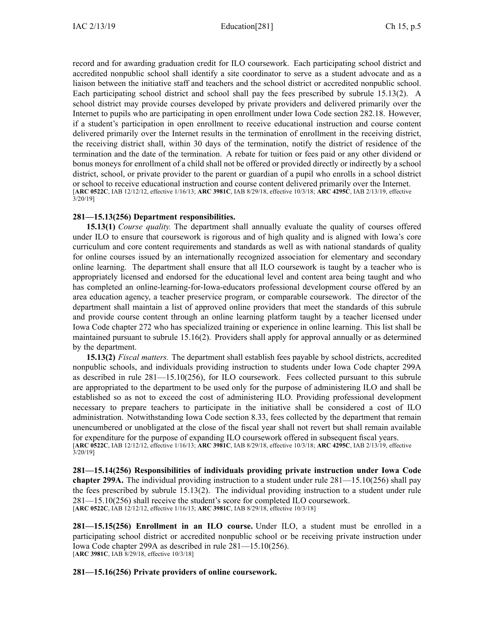record and for awarding graduation credit for ILO coursework. Each participating school district and accredited nonpublic school shall identify <sup>a</sup> site coordinator to serve as <sup>a</sup> student advocate and as <sup>a</sup> liaison between the initiative staff and teachers and the school district or accredited nonpublic school. Each participating school district and school shall pay the fees prescribed by subrule [15.13](https://www.legis.iowa.gov/docs/iac/rule/281.15.13.pdf)(2). A school district may provide courses developed by private providers and delivered primarily over the Internet to pupils who are participating in open enrollment under Iowa Code section [282.18](https://www.legis.iowa.gov/docs/ico/section/282.18.pdf). However, if <sup>a</sup> student's participation in open enrollment to receive educational instruction and course content delivered primarily over the Internet results in the termination of enrollment in the receiving district, the receiving district shall, within 30 days of the termination, notify the district of residence of the termination and the date of the termination. A rebate for tuition or fees paid or any other dividend or bonus moneys for enrollment of <sup>a</sup> child shall not be offered or provided directly or indirectly by <sup>a</sup> school district, school, or private provider to the paren<sup>t</sup> or guardian of <sup>a</sup> pupil who enrolls in <sup>a</sup> school district or school to receive educational instruction and course content delivered primarily over the Internet. [**ARC [0522C](https://www.legis.iowa.gov/docs/aco/arc/0522C.pdf)**, IAB 12/12/12, effective 1/16/13; **ARC [3981C](https://www.legis.iowa.gov/docs/aco/arc/3981C.pdf)**, IAB 8/29/18, effective 10/3/18; **ARC [4295C](https://www.legis.iowa.gov/docs/aco/arc/4295C.pdf)**, IAB 2/13/19, effective 3/20/19]

## **281—15.13(256) Department responsibilities.**

**15.13(1)** *Course quality.* The department shall annually evaluate the quality of courses offered under ILO to ensure that coursework is rigorous and of high quality and is aligned with Iowa's core curriculum and core content requirements and standards as well as with national standards of quality for online courses issued by an internationally recognized association for elementary and secondary online learning. The department shall ensure that all ILO coursework is taught by <sup>a</sup> teacher who is appropriately licensed and endorsed for the educational level and content area being taught and who has completed an online-learning-for-Iowa-educators professional development course offered by an area education agency, <sup>a</sup> teacher preservice program, or comparable coursework. The director of the department shall maintain <sup>a</sup> list of approved online providers that meet the standards of this subrule and provide course content through an online learning platform taught by <sup>a</sup> teacher licensed under Iowa Code chapter [272](https://www.legis.iowa.gov/docs/ico/chapter/272.pdf) who has specialized training or experience in online learning. This list shall be maintained pursuan<sup>t</sup> to subrule 15.16(2). Providers shall apply for approval annually or as determined by the department.

**15.13(2)** *Fiscal matters.* The department shall establish fees payable by school districts, accredited nonpublic schools, and individuals providing instruction to students under Iowa Code chapter [299A](https://www.legis.iowa.gov/docs/ico/chapter/2018/299A.pdf) as described in rule [281—15.10](https://www.legis.iowa.gov/docs/iac/rule/281.15.10.pdf)(256), for ILO coursework. Fees collected pursuan<sup>t</sup> to this subrule are appropriated to the department to be used only for the purpose of administering ILO and shall be established so as not to exceed the cost of administering ILO. Providing professional development necessary to prepare teachers to participate in the initiative shall be considered <sup>a</sup> cost of ILO administration. Notwithstanding Iowa Code section [8.33](https://www.legis.iowa.gov/docs/ico/section/2018/8.33.pdf), fees collected by the department that remain unencumbered or unobligated at the close of the fiscal year shall not revert but shall remain available for expenditure for the purpose of expanding ILO coursework offered in subsequent fiscal years. [**ARC [0522C](https://www.legis.iowa.gov/docs/aco/arc/0522C.pdf)**, IAB 12/12/12, effective 1/16/13; **ARC [3981C](https://www.legis.iowa.gov/docs/aco/arc/3981C.pdf)**, IAB 8/29/18, effective 10/3/18; **ARC [4295C](https://www.legis.iowa.gov/docs/aco/arc/4295C.pdf)**, IAB 2/13/19, effective 3/20/19]

**281—15.14(256) Responsibilities of individuals providing private instruction under Iowa Code chapter [299A](https://www.legis.iowa.gov/docs/ico/chapter/2018/299A.pdf).** The individual providing instruction to <sup>a</sup> student under rule [281—15.10](https://www.legis.iowa.gov/docs/iac/rule/281.15.10.pdf)(256) shall pay the fees prescribed by subrule [15.13](https://www.legis.iowa.gov/docs/iac/rule/281.15.13.pdf)(2). The individual providing instruction to <sup>a</sup> student under rule [281—15.10](https://www.legis.iowa.gov/docs/iac/rule/281.15.10.pdf)(256) shall receive the student's score for completed ILO coursework. [**ARC [0522C](https://www.legis.iowa.gov/docs/aco/arc/0522C.pdf)**, IAB 12/12/12, effective 1/16/13; **ARC [3981C](https://www.legis.iowa.gov/docs/aco/arc/3981C.pdf)**, IAB 8/29/18, effective 10/3/18]

**281—15.15(256) Enrollment in an ILO course.** Under ILO, <sup>a</sup> student must be enrolled in <sup>a</sup> participating school district or accredited nonpublic school or be receiving private instruction under Iowa Code chapter [299A](https://www.legis.iowa.gov/docs/ico/chapter/2018/299A.pdf) as described in rule [281—15.10](https://www.legis.iowa.gov/docs/iac/rule/281.15.10.pdf)(256). [**ARC [3981C](https://www.legis.iowa.gov/docs/aco/arc/3981C.pdf)**, IAB 8/29/18, effective 10/3/18]

**281—15.16(256) Private providers of online coursework.**